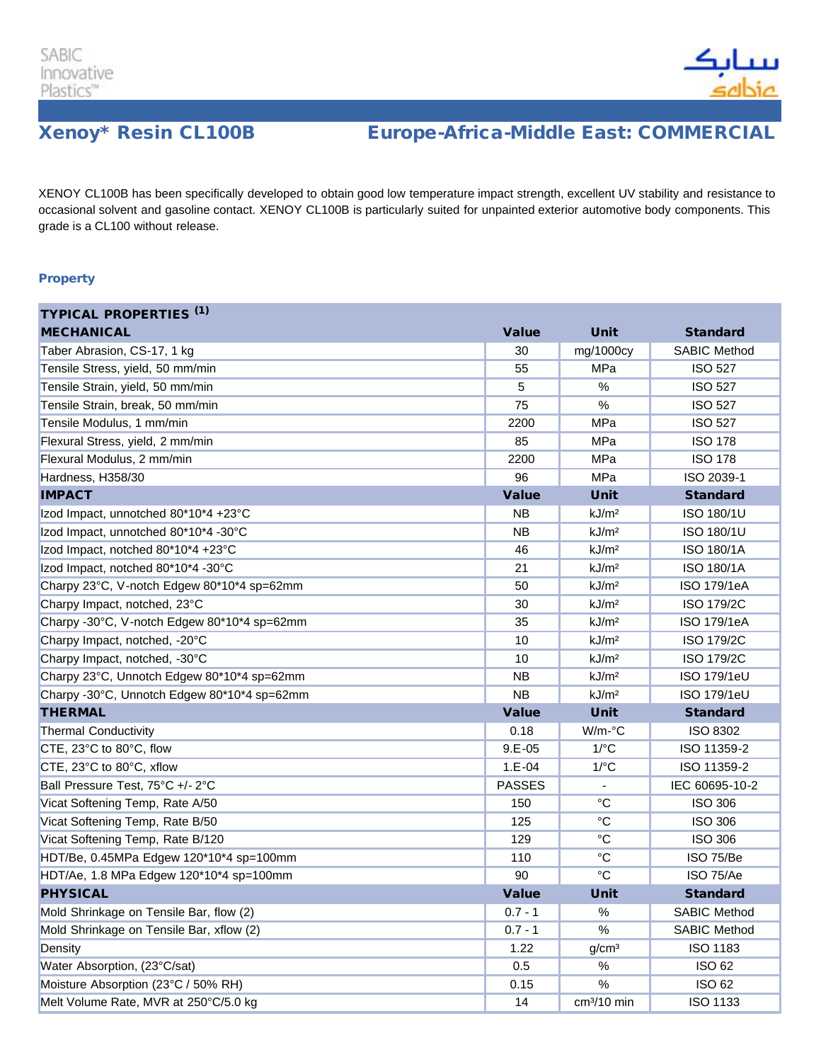

## Xenoy\* Resin CL100B Europe-Africa-Middle East: COMMERCIAL

XENOY CL100B has been specifically developed to obtain good low temperature impact strength, excellent UV stability and resistance to occasional solvent and gasoline contact. XENOY CL100B is particularly suited for unpainted exterior automotive body components. This grade is a CL100 without release.

## **Property**

| <b>TYPICAL PROPERTIES (1)</b>               |               |                         |                     |
|---------------------------------------------|---------------|-------------------------|---------------------|
| <b>MECHANICAL</b>                           | <b>Value</b>  | <b>Unit</b>             | <b>Standard</b>     |
| Taber Abrasion, CS-17, 1 kg                 | 30            | mg/1000cy               | <b>SABIC Method</b> |
| Tensile Stress, yield, 50 mm/min            | 55            | MPa                     | <b>ISO 527</b>      |
| Tensile Strain, yield, 50 mm/min            | 5             | $\%$                    | <b>ISO 527</b>      |
| Tensile Strain, break, 50 mm/min            | 75            | %                       | <b>ISO 527</b>      |
| Tensile Modulus, 1 mm/min                   | 2200          | MPa                     | <b>ISO 527</b>      |
| Flexural Stress, yield, 2 mm/min            | 85            | MPa                     | <b>ISO 178</b>      |
| Flexural Modulus, 2 mm/min                  | 2200          | MPa                     | <b>ISO 178</b>      |
| Hardness, H358/30                           | 96            | MPa                     | ISO 2039-1          |
| <b>IMPACT</b>                               | <b>Value</b>  | <b>Unit</b>             | <b>Standard</b>     |
| Izod Impact, unnotched 80*10*4 +23°C        | NΒ            | kJ/m <sup>2</sup>       | ISO 180/1U          |
| Izod Impact, unnotched 80*10*4 -30°C        | <b>NB</b>     | kJ/m <sup>2</sup>       | ISO 180/1U          |
| Izod Impact, notched 80*10*4 +23°C          | 46            | kJ/m <sup>2</sup>       | <b>ISO 180/1A</b>   |
| Izod Impact, notched 80*10*4 -30°C          | 21            | kJ/m <sup>2</sup>       | <b>ISO 180/1A</b>   |
| Charpy 23°C, V-notch Edgew 80*10*4 sp=62mm  | 50            | kJ/m <sup>2</sup>       | <b>ISO 179/1eA</b>  |
| Charpy Impact, notched, 23°C                | 30            | kJ/m <sup>2</sup>       | <b>ISO 179/2C</b>   |
| Charpy -30°C, V-notch Edgew 80*10*4 sp=62mm | 35            | kJ/m <sup>2</sup>       | ISO 179/1eA         |
| Charpy Impact, notched, -20°C               | 10            | kJ/m <sup>2</sup>       | ISO 179/2C          |
| Charpy Impact, notched, -30°C               | 10            | kJ/m <sup>2</sup>       | ISO 179/2C          |
| Charpy 23°C, Unnotch Edgew 80*10*4 sp=62mm  | <b>NB</b>     | kJ/m <sup>2</sup>       | <b>ISO 179/1eU</b>  |
| Charpy -30°C, Unnotch Edgew 80*10*4 sp=62mm | <b>NB</b>     | kJ/m <sup>2</sup>       | <b>ISO 179/1eU</b>  |
| <b>THERMAL</b>                              | <b>Value</b>  | <b>Unit</b>             | <b>Standard</b>     |
| <b>Thermal Conductivity</b>                 | 0.18          | $W/m$ - $\degree$ C     | ISO 8302            |
| CTE, 23°C to 80°C, flow                     | $9.E - 05$    | $1$ / $\degree$ C       | ISO 11359-2         |
| CTE, 23°C to 80°C, xflow                    | $1.E - 04$    | $1$ /°C                 | ISO 11359-2         |
| Ball Pressure Test, 75°C +/- 2°C            | <b>PASSES</b> |                         | IEC 60695-10-2      |
| Vicat Softening Temp, Rate A/50             | 150           | $\rm ^{\circ}C$         | <b>ISO 306</b>      |
| Vicat Softening Temp, Rate B/50             | 125           | $\rm ^{\circ}C$         | <b>ISO 306</b>      |
| Vicat Softening Temp, Rate B/120            | 129           | $\rm ^{\circ}C$         | <b>ISO 306</b>      |
| HDT/Be, 0.45MPa Edgew 120*10*4 sp=100mm     | 110           | $\rm ^{\circ}C$         | ISO 75/Be           |
| HDT/Ae, 1.8 MPa Edgew 120*10*4 sp=100mm     | 90            | $^{\circ}C$             | ISO 75/Ae           |
| <b>PHYSICAL</b>                             | <b>Value</b>  | <b>Unit</b>             | <b>Standard</b>     |
| Mold Shrinkage on Tensile Bar, flow (2)     | $0.7 - 1$     | $\%$                    | <b>SABIC Method</b> |
| Mold Shrinkage on Tensile Bar, xflow (2)    | $0.7 - 1$     | $\%$                    | <b>SABIC Method</b> |
| Density                                     | 1.22          | g/cm <sup>3</sup>       | ISO 1183            |
| Water Absorption, (23°C/sat)                | 0.5           | %                       | <b>ISO 62</b>       |
| Moisture Absorption (23°C / 50% RH)         | 0.15          | $\%$                    | <b>ISO 62</b>       |
| Melt Volume Rate, MVR at 250°C/5.0 kg       | 14            | cm <sup>3</sup> /10 min | <b>ISO 1133</b>     |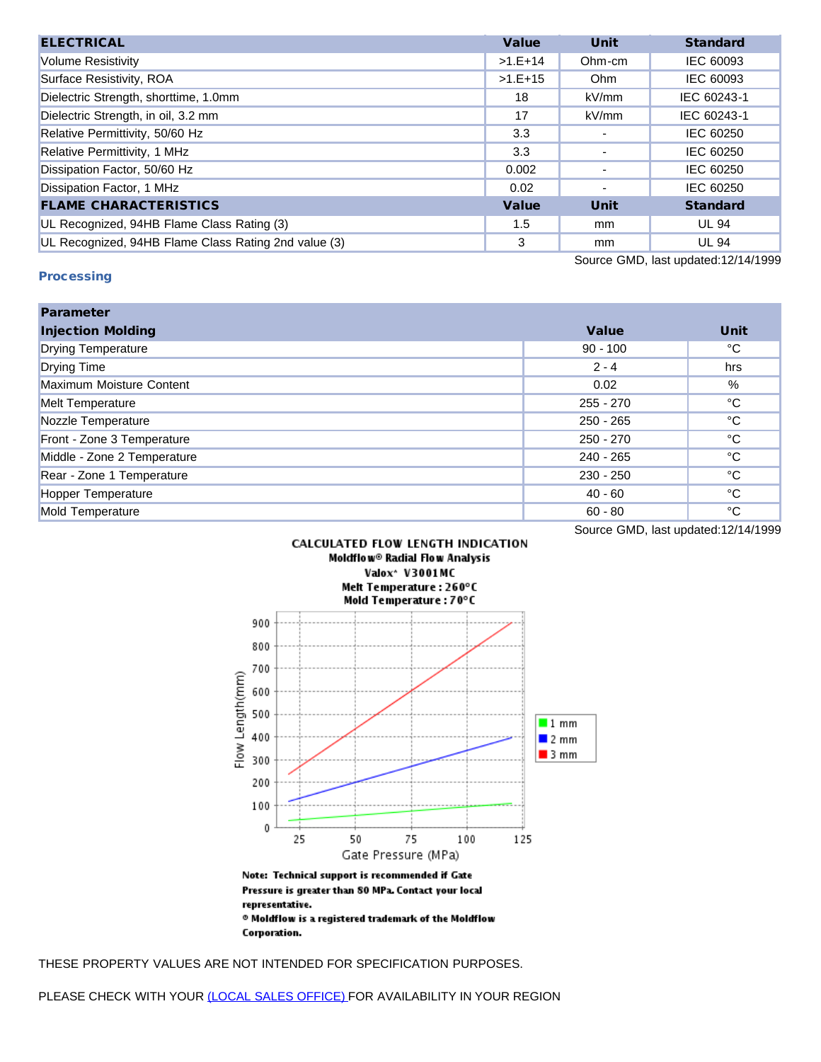| <b>ELECTRICAL</b>                                    | <b>Value</b> | <b>Unit</b> | <b>Standard</b> |
|------------------------------------------------------|--------------|-------------|-----------------|
| <b>Volume Resistivity</b>                            | $>1.E+14$    | Ohm-cm      | IEC 60093       |
| Surface Resistivity, ROA                             | $>1.E+15$    | Ohm         | IEC 60093       |
| Dielectric Strength, shorttime, 1.0mm                | 18           | kV/mm       | IEC 60243-1     |
| Dielectric Strength, in oil, 3.2 mm                  | 17           | kV/mm       | IEC 60243-1     |
| Relative Permittivity, 50/60 Hz                      | 3.3          |             | IEC 60250       |
| Relative Permittivity, 1 MHz                         | 3.3          |             | IEC 60250       |
| Dissipation Factor, 50/60 Hz                         | 0.002        |             | IEC 60250       |
| Dissipation Factor, 1 MHz                            | 0.02         | ۰           | IEC 60250       |
| <b>FLAME CHARACTERISTICS</b>                         | <b>Value</b> | <b>Unit</b> | <b>Standard</b> |
| UL Recognized, 94HB Flame Class Rating (3)           | 1.5          | mm          | <b>UL 94</b>    |
| UL Recognized, 94HB Flame Class Rating 2nd value (3) | 3            | mm          | <b>UL 94</b>    |

## **Processing**

Source GMD, last updated:12/14/1999

| <b>Parameter</b>            |              |              |
|-----------------------------|--------------|--------------|
| <b>Injection Molding</b>    | <b>Value</b> | Unit         |
| <b>Drying Temperature</b>   | $90 - 100$   | °C           |
| <b>Drying Time</b>          | $2 - 4$      | hrs          |
| Maximum Moisture Content    | 0.02         | %            |
| <b>Melt Temperature</b>     | $255 - 270$  | °C           |
| Nozzle Temperature          | $250 - 265$  | °C           |
| Front - Zone 3 Temperature  | $250 - 270$  | °C           |
| Middle - Zone 2 Temperature | 240 - 265    | °C           |
| Rear - Zone 1 Temperature   | $230 - 250$  | $^{\circ}$ C |
| Hopper Temperature          | $40 - 60$    | $^{\circ}$ C |
| Mold Temperature            | $60 - 80$    | °C           |

Source GMD, last updated:12/14/1999



representative.  $\,{}^{\circ}$  Moldflow is a registered trademark of the Moldflow Corporation.

THESE PROPERTY VALUES ARE NOT INTENDED FOR SPECIFICATION PURPOSES.